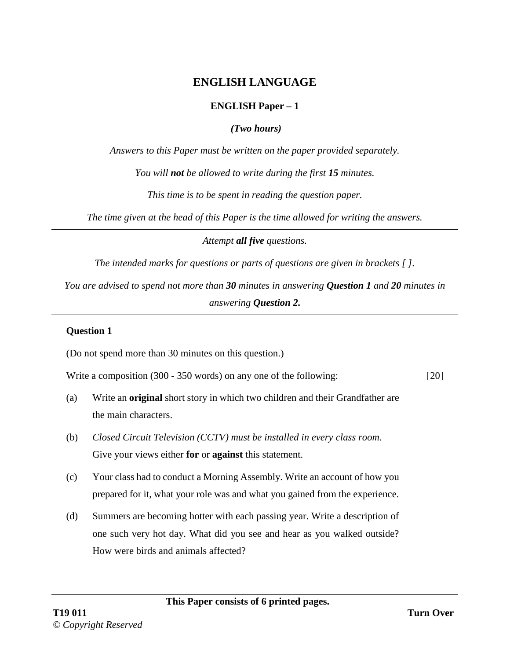# **ENGLISH LANGUAGE**

### **ENGLISH Paper – 1**

*(Two hours)*

*Answers to this Paper must be written on the paper provided separately.* 

*You will not be allowed to write during the first 15 minutes.* 

*This time is to be spent in reading the question paper.* 

*The time given at the head of this Paper is the time allowed for writing the answers.*

*Attempt all five questions.*

*The intended marks for questions or parts of questions are given in brackets [ ].* 

*You are advised to spend not more than 30 minutes in answering Question 1 and 20 minutes in answering Question 2.*

### **Question 1**

(Do not spend more than 30 minutes on this question.)

Write a composition (300 - 350 words) on any one of the following: [20]

- (a) Write an **original** short story in which two children and their Grandfather are the main characters.
- (b) *Closed Circuit Television (CCTV) must be installed in every class room.* Give your views either **for** or **against** this statement.
- (c) Your class had to conduct a Morning Assembly. Write an account of how you prepared for it, what your role was and what you gained from the experience.
- (d) Summers are becoming hotter with each passing year. Write a description of one such very hot day. What did you see and hear as you walked outside? How were birds and animals affected?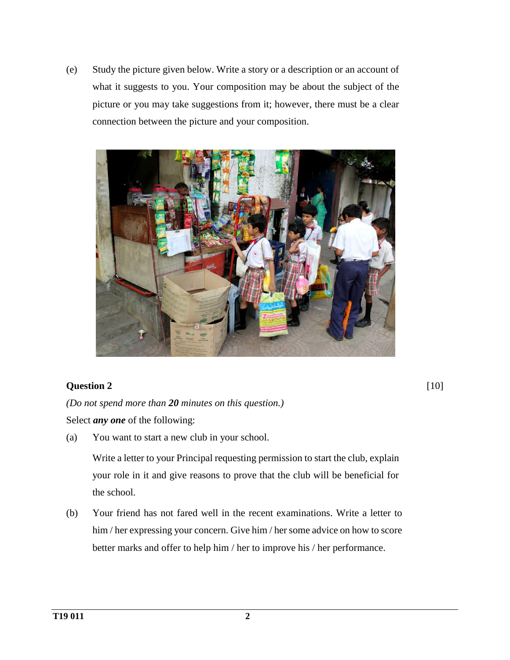(e) Study the picture given below. Write a story or a description or an account of what it suggests to you. Your composition may be about the subject of the picture or you may take suggestions from it; however, there must be a clear connection between the picture and your composition.



## **Question 2**

[10]

*(Do not spend more than 20 minutes on this question.)*  Select *any one* of the following:

(a) You want to start a new club in your school.

Write a letter to your Principal requesting permission to start the club, explain your role in it and give reasons to prove that the club will be beneficial for the school.

(b) Your friend has not fared well in the recent examinations. Write a letter to him / her expressing your concern. Give him / her some advice on how to score better marks and offer to help him / her to improve his / her performance.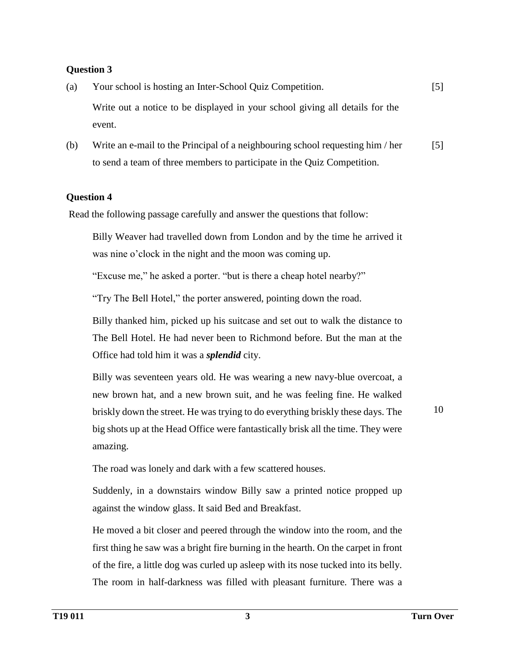### **Question 3**

| (a) | Your school is hosting an Inter-School Quiz Competition.                     | $\lceil 5 \rceil$ |
|-----|------------------------------------------------------------------------------|-------------------|
|     | Write out a notice to be displayed in your school giving all details for the |                   |
|     | event.                                                                       |                   |

(b) Write an e-mail to the Principal of a neighbouring school requesting him / her to send a team of three members to participate in the Quiz Competition. [5]

#### **Question 4**

Read the following passage carefully and answer the questions that follow:

Billy Weaver had travelled down from London and by the time he arrived it was nine o'clock in the night and the moon was coming up.

"Excuse me," he asked a porter. "but is there a cheap hotel nearby?"

"Try The Bell Hotel," the porter answered, pointing down the road.

Billy thanked him, picked up his suitcase and set out to walk the distance to The Bell Hotel. He had never been to Richmond before. But the man at the Office had told him it was a *splendid* city.

Billy was seventeen years old. He was wearing a new navy-blue overcoat, a new brown hat, and a new brown suit, and he was feeling fine. He walked briskly down the street. He was trying to do everything briskly these days. The big shots up at the Head Office were fantastically brisk all the time. They were amazing.

10

The road was lonely and dark with a few scattered houses.

Suddenly, in a downstairs window Billy saw a printed notice propped up against the window glass. It said Bed and Breakfast.

He moved a bit closer and peered through the window into the room, and the first thing he saw was a bright fire burning in the hearth. On the carpet in front of the fire, a little dog was curled up asleep with its nose tucked into its belly. The room in half-darkness was filled with pleasant furniture. There was a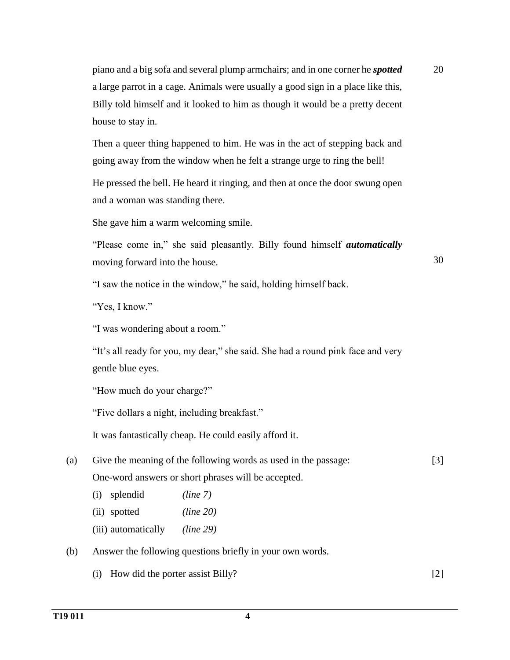piano and a big sofa and several plump armchairs; and in one corner he *spotted* a large parrot in a cage. Animals were usually a good sign in a place like this, Billy told himself and it looked to him as though it would be a pretty decent house to stay in.

Then a queer thing happened to him. He was in the act of stepping back and going away from the window when he felt a strange urge to ring the bell!

He pressed the bell. He heard it ringing, and then at once the door swung open and a woman was standing there.

She gave him a warm welcoming smile.

"Please come in," she said pleasantly. Billy found himself *automatically* moving forward into the house.

30

20

"I saw the notice in the window," he said, holding himself back.

"Yes, I know."

"I was wondering about a room."

"It's all ready for you, my dear," she said. She had a round pink face and very gentle blue eyes.

"How much do your charge?"

"Five dollars a night, including breakfast."

It was fantastically cheap. He could easily afford it.

| (a) | Give the meaning of the following words as used in the passage: | [3] |
|-----|-----------------------------------------------------------------|-----|
|     | One-word answers or short phrases will be accepted.             |     |

- (i) splendid *(line 7)*
- (ii) spotted *(line 20)*
- (iii) automatically *(line 29)*
- (b) Answer the following questions briefly in your own words.
	- (i) How did the porter assist Billy? [2]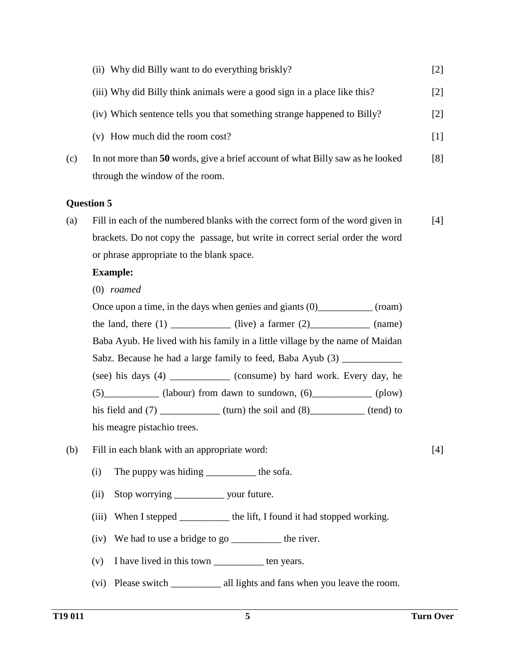|     | (ii) Why did Billy want to do everything briskly?                                                                 | $[2]$ |
|-----|-------------------------------------------------------------------------------------------------------------------|-------|
|     | (iii) Why did Billy think animals were a good sign in a place like this?                                          | [2]   |
|     | (iv) Which sentence tells you that something strange happened to Billy?                                           | $[2]$ |
|     | (v) How much did the room cost?                                                                                   | [1]   |
| (c) | In not more than 50 words, give a brief account of what Billy saw as he looked<br>through the window of the room. | [8]   |
|     | <b>Ouestion 5</b>                                                                                                 |       |

(a) Fill in each of the numbered blanks with the correct form of the word given in brackets. Do not copy the passage, but write in correct serial order the word or phrase appropriate to the blank space. [4]

#### **Example:**

(0) *roamed*

| Once upon a time, in the days when genies and giants $(0)$ (roam)             |                                                                                       |  |  |  |  |  |
|-------------------------------------------------------------------------------|---------------------------------------------------------------------------------------|--|--|--|--|--|
|                                                                               | the land, there $(1)$ ____________(live) a farmer $(2)$ __________(name)              |  |  |  |  |  |
| Baba Ayub. He lived with his family in a little village by the name of Maidan |                                                                                       |  |  |  |  |  |
| Sabz. Because he had a large family to feed, Baba Ayub (3) ______________     |                                                                                       |  |  |  |  |  |
|                                                                               | (see) his days (4) ___________ (consume) by hard work. Every day, he                  |  |  |  |  |  |
|                                                                               | $(5)$ (labour) from dawn to sundown, $(6)$ (plow)                                     |  |  |  |  |  |
|                                                                               | his field and $(7)$ _______________ (turn) the soil and $(8)$ _____________ (tend) to |  |  |  |  |  |
| his meagre pistachio trees.                                                   |                                                                                       |  |  |  |  |  |

- (b) Fill in each blank with an appropriate word:
	- (i) The puppy was hiding \_\_\_\_\_\_\_\_\_\_ the sofa.
	- (ii) Stop worrying \_\_\_\_\_\_\_\_\_\_\_\_ your future.
	- (iii) When I stepped \_\_\_\_\_\_\_\_\_\_ the lift, I found it had stopped working.
	- (iv) We had to use a bridge to go \_\_\_\_\_\_\_\_\_\_ the river.
	- (v) I have lived in this town \_\_\_\_\_\_\_\_\_\_ ten years.
	- (vi) Please switch \_\_\_\_\_\_\_\_\_\_ all lights and fans when you leave the room.

[4]